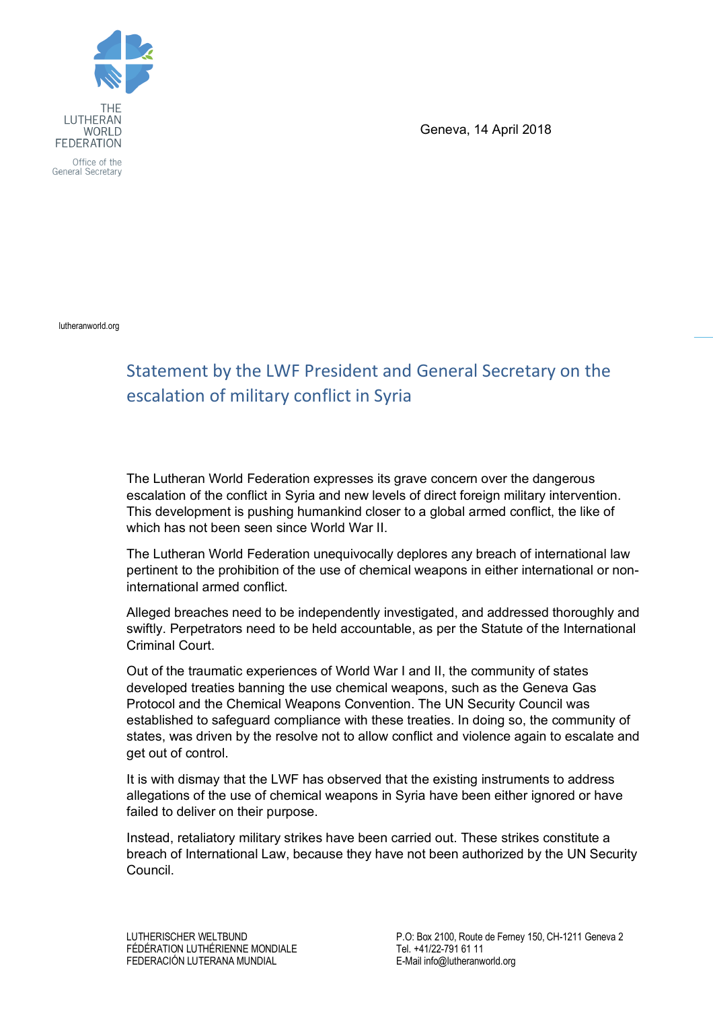

Office of the General Secretary

Geneva, 14 April 2018

lutheranworld.org

## Statement by the LWF President and General Secretary on the escalation of military conflict in Syria

The Lutheran World Federation expresses its grave concern over the dangerous escalation of the conflict in Syria and new levels of direct foreign military intervention. This development is pushing humankind closer to a global armed conflict, the like of which has not been seen since World War II.

The Lutheran World Federation unequivocally deplores any breach of international law pertinent to the prohibition of the use of chemical weapons in either international or noninternational armed conflict.

Alleged breaches need to be independently investigated, and addressed thoroughly and swiftly. Perpetrators need to be held accountable, as per the Statute of the International Criminal Court.

Out of the traumatic experiences of World War I and II, the community of states developed treaties banning the use chemical weapons, such as the Geneva Gas Protocol and the Chemical Weapons Convention. The UN Security Council was established to safeguard compliance with these treaties. In doing so, the community of states, was driven by the resolve not to allow conflict and violence again to escalate and get out of control.

It is with dismay that the LWF has observed that the existing instruments to address allegations of the use of chemical weapons in Syria have been either ignored or have failed to deliver on their purpose.

Instead, retaliatory military strikes have been carried out. These strikes constitute a breach of International Law, because they have not been authorized by the UN Security Council.